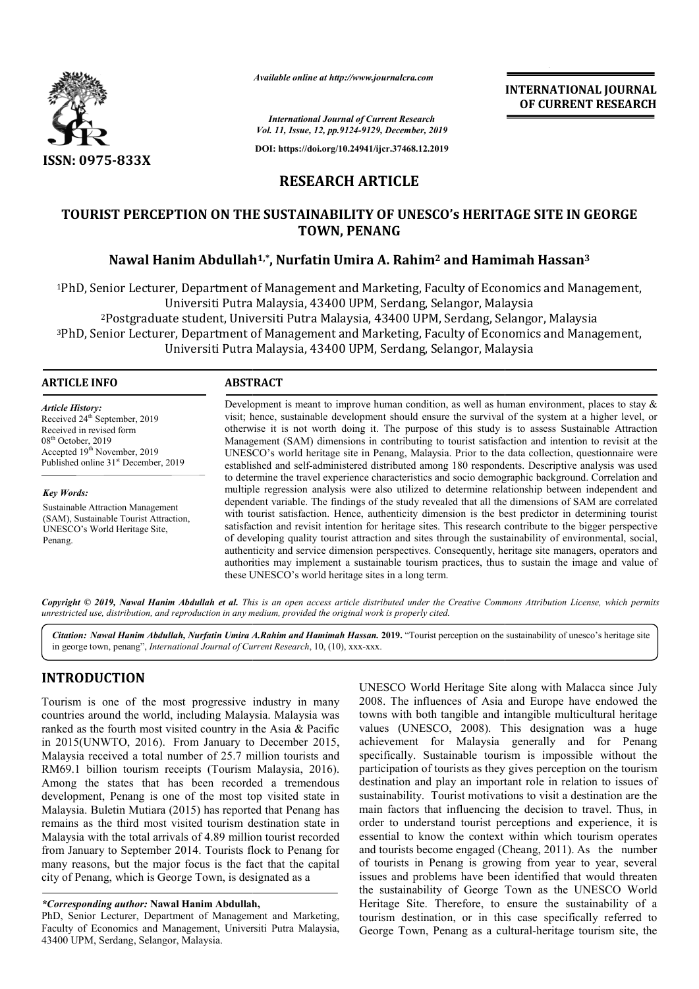

*Available online at http://www.journalcra.com*

**INTERNATIONAL JOURNAL OF CURRENT RESEARCH**

*International Journal of Current Research Vol. 11, Issue, 12, pp.9124-9129, December, 2019*

**DOI: https://doi.org/10.24941/ijcr.37468.12.2019**

# **RESEARCH ARTICLE**

# **TOURIST PERCEPTION ON THE SUSTAINABILITY OF UNESCO's HERITAGE SITE IN GEORGE Nawal Hanim Abdullah Abdullah1,\*, Nurfatin Umira A. Rahim2 and Hamimah Hassan PERCEPTION ON THE SUSTAINABILITY Hassan3 TOWN, PENANG**

<sup>1</sup>PhD, Senior Lecturer, Department of Management and Marketing, Faculty of Economics and Management,<br>Universiti Putra Malaysia, 43400 UPM, Serdang, Selangor, Malaysia<br><sup>2</sup>Postgraduate student, Universiti Putra Malaysia, 43 Universiti Putra Malaysia, 43400 UPM, Serdang, Selangor, Malaysia 2Postgraduate student, Universiti Putra Malaysia, 43400 UPM, S 3PhD, Senior Lecturer, Department of Management and Marketing, Faculty of Economics and Management, PhD, Universiti Putra Malaysia, 43400 UPM, Serdang, Selangor, Malaysia <sup>2</sup>Postgraduate student, Universiti Putra Malaysia, 43400 UPM, Serdang, Selangor, Ma<br>Senior Lecturer, Department of Management and Marketing, Faculty of Economics and<br>Universiti Putra Malaysia, 43400 UPM, Serdang, Selangor

#### **ARTICLE INFO ABSTRACT**

*Article History:* Received 24<sup>th</sup> September, 2019 Received in revised form 08th October, 2019 Accepted 19th November, 2019 Published online 31<sup>st</sup> December, 2019

#### *Key Words:*

Sustainable Attraction Management (SAM), Sustainable Tourist Attraction, UNESCO's World Heritage Site, Penang.

Development is meant to improve human condition, as well as human environment, places to stay  $\&$ visit; hence, sustainable development should ensure the survival of the system at a higher level, or otherwise it is not worth doing it. The purpose of this study is to assess Sustaina Management (SAM) dimensions in contributing to tourist satisfaction and intention to revisit at the UNESCO's world heritage site in Penang, Malaysia. Prior to the data collection, questionnaire were established and self-administered distributed among 180 respondents. Descriptive analysis was used to determine the travel experience characteristics and socio demographic background. Correlation and multiple regression analysis were also utilized to determine relationship between independent and dependent variable. The findings of the study revealed that all the dimensions of SAM are correlated with tourist satisfaction. Hence, authenticity dimension is the best predictor in determining tourist satisfaction and revisit intention for heritage sites. This research contribute to the bigger perspective of developing quality tourist attraction and sites through the sustainability of environmental, social, authenticity and service dimension perspectives. Consequently, heritage site managers, operators an authorities may implement a sustainable tourism practices, thus to sustain the image and value of these UNESCO's world heritage sites in a long term. Development is meant to improve human condition, as well as human environment, places to stay & visit; hence, sustainable development should ensure the survival of the system at a higher level, or otherwise it is not worth Management (SAM) dimensions in contributing to tourist satisfaction and intention to revisit at the UNESCO's world heritage site in Penang, Malaysia. Prior to the data collection, questionnaire were established and self-ad

Copyright © 2019, Nawal Hanim Abdullah et al. This is an open access article distributed under the Creative Commons Attribution License, which permits *unrestricted use, distribution, and reproduction in any medium, provided the original work is properly cited.*

Citation: Nawal Hanim Abdullah, Nurfatin Umira A.Rahim and Hamimah Hassan. 2019. "Tourist perception on the sustainability of unesco's heritage site in george town, penang", *International Journal of Current Research*, 10, (10), xxx-xxx.

# **INTRODUCTION**

Tourism is one of the most progressive industry in many countries around the world, including Malaysia. Malaysia was ranked as the fourth most visited country in the Asia & Pacific in 2015(UNWTO, 2016). From January to December 2015, Malaysia received a total number of 25.7 million tourists and RM69.1 billion tourism receipts (Tourism Malaysia, 2016). Among the states that has been recorded a tremendous development, Penang is one of the most top visited state in Malaysia received a total number of 25.7 million tourists and RM69.1 billion tourism receipts (Tourism Malaysia, 2016).<br>Among the states that has been recorded a tremendous development, Penang is one of the most top visite remains as the third most visited tourism destination state in Malaysia with the total arrivals of 4.89 million tourist recorded from January to September 2014. Tourists flock to Penang for many reasons, but the major focus is the fact that the capital city of Penang, which is George Town, is designated as a

#### *\*Corresponding author:* **Nawal Hanim Abdullah,**

PhD, Senior Lecturer, Department of Management and Marketing, Faculty of Economics and Management, Universiti Putra Malaysia, 43400 UPM, Serdang, Selangor, Malaysia.

UNESCO World Heritage Site along with Malacca since July 2008. The influences of Asia and Europe have endowed the towns with both tangible and intangible multicultural heritage values (UNESCO, 2008). This designation was a achievement for Malaysia generally and for Penang specifically. Sustainable tourism is impossible without the participation of tourists as they gives perception on the tourism destination and play an important role in relation to issues of sustainability. Tourist motivations to visit a destination are the main factors that influencing the decision to travel. Thus, in order to understand tourist perceptions and experience, it is essential to know the context within which tourism operates and tourists become engaged (Cheang, 2011). As the number of tourists in Penang is growing from year to year, several issues and problems have been identified that would threaten the sustainability of George Town as the UNESCO World of tourists in Penang is growing from year to year, several issues and problems have been identified that would threaten the sustainability of George Town as the UNESCO World Heritage Site. Therefore, to ensure the sustain tourism destination, or in this case specifically referred to tourism destination, or in this case specifically referred to George Town, Penang as a cultural-heritage tourism site, the UNESCO World Heritage Site along with Malacca since July 2008. The influences of Asia and Europe have endowed the towns with both tangible and intangible multicultural heritage values (UNESCO, 2008). This designation was a achievement for Malaysia generally and for Penang specifically. Sustainable tourism is impossible without the participation of tourists as they gives perception on the tourism destination and play an important role in rela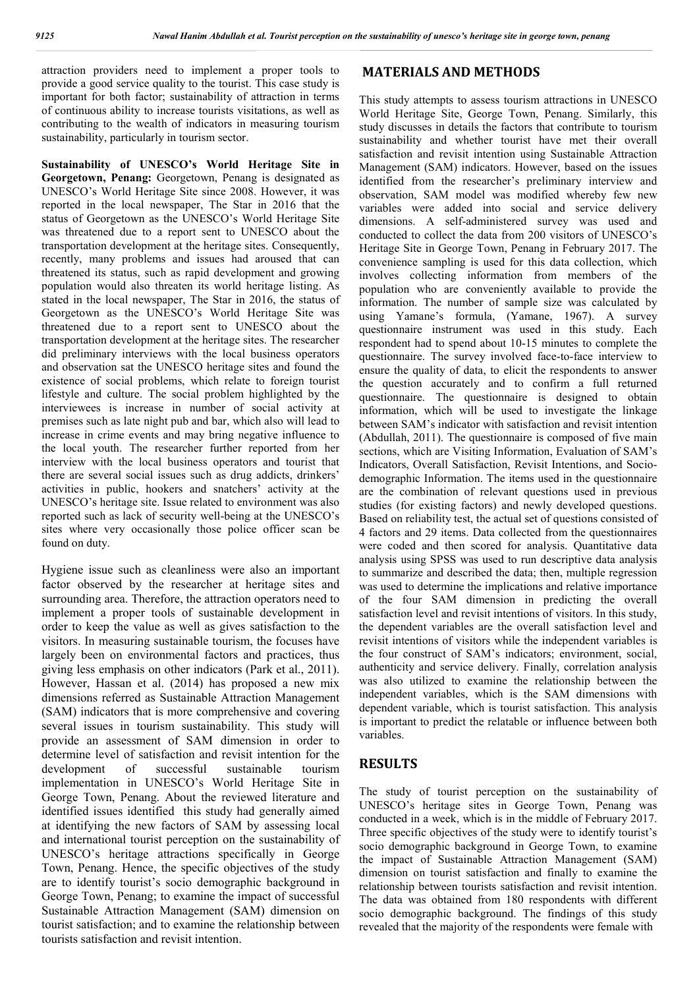attraction providers need to implement a proper tools to provide a good service quality to the tourist. This case study is important for both factor; sustainability of attraction in terms of continuous ability to increase tourists visitations, as well as contributing to the wealth of indicators in measuring tourism sustainability, particularly in tourism sector.

**Sustainability of UNESCO's World Heritage Site in Georgetown, Penang:** Georgetown, Penang is designated as UNESCO's World Heritage Site since 2008. However, it was reported in the local newspaper, The Star in 2016 that the status of Georgetown as the UNESCO's World Heritage Site was threatened due to a report sent to UNESCO about the transportation development at the heritage sites. Consequently, recently, many problems and issues had aroused that can threatened its status, such as rapid development and growing population would also threaten its world heritage listing. As stated in the local newspaper, The Star in 2016, the status of Georgetown as the UNESCO's World Heritage Site was threatened due to a report sent to UNESCO about the transportation development at the heritage sites. The researcher did preliminary interviews with the local business operators and observation sat the UNESCO heritage sites and found the existence of social problems, which relate to foreign tourist lifestyle and culture. The social problem highlighted by the interviewees is increase in number of social activity at premises such as late night pub and bar, which also will lead to increase in crime events and may bring negative influence to the local youth. The researcher further reported from her interview with the local business operators and tourist that there are several social issues such as drug addicts, drinkers' activities in public, hookers and snatchers' activity at the UNESCO's heritage site. Issue related to environment was also reported such as lack of security well-being at the UNESCO's sites where very occasionally those police officer scan be found on duty.

Hygiene issue such as cleanliness were also an important factor observed by the researcher at heritage sites and surrounding area. Therefore, the attraction operators need to implement a proper tools of sustainable development in order to keep the value as well as gives satisfaction to the visitors. In measuring sustainable tourism, the focuses have largely been on environmental factors and practices, thus giving less emphasis on other indicators (Park et al., 2011). However, Hassan et al. (2014) has proposed a new mix dimensions referred as Sustainable Attraction Management (SAM) indicators that is more comprehensive and covering several issues in tourism sustainability. This study will provide an assessment of SAM dimension in order to determine level of satisfaction and revisit intention for the development of successful sustainable tourism implementation in UNESCO's World Heritage Site in George Town, Penang. About the reviewed literature and identified issues identified this study had generally aimed at identifying the new factors of SAM by assessing local and international tourist perception on the sustainability of UNESCO's heritage attractions specifically in George Town, Penang. Hence, the specific objectives of the study are to identify tourist's socio demographic background in George Town, Penang; to examine the impact of successful Sustainable Attraction Management (SAM) dimension on tourist satisfaction; and to examine the relationship between tourists satisfaction and revisit intention.

### **MATERIALS AND METHODS**

This study attempts to assess tourism attractions in UNESCO World Heritage Site, George Town, Penang. Similarly, this study discusses in details the factors that contribute to tourism sustainability and whether tourist have met their overall satisfaction and revisit intention using Sustainable Attraction Management (SAM) indicators. However, based on the issues identified from the researcher's preliminary interview and observation, SAM model was modified whereby few new variables were added into social and service delivery dimensions. A self-administered survey was used and conducted to collect the data from 200 visitors of UNESCO's Heritage Site in George Town, Penang in February 2017. The convenience sampling is used for this data collection, which involves collecting information from members of the population who are conveniently available to provide the information. The number of sample size was calculated by using Yamane's formula, (Yamane, 1967). A survey questionnaire instrument was used in this study. Each respondent had to spend about 10-15 minutes to complete the questionnaire. The survey involved face-to-face interview to ensure the quality of data, to elicit the respondents to answer the question accurately and to confirm a full returned questionnaire. The questionnaire is designed to obtain information, which will be used to investigate the linkage between SAM's indicator with satisfaction and revisit intention (Abdullah, 2011). The questionnaire is composed of five main sections, which are Visiting Information, Evaluation of SAM's Indicators, Overall Satisfaction, Revisit Intentions, and Sociodemographic Information. The items used in the questionnaire are the combination of relevant questions used in previous studies (for existing factors) and newly developed questions. Based on reliability test, the actual set of questions consisted of 4 factors and 29 items. Data collected from the questionnaires were coded and then scored for analysis. Quantitative data analysis using SPSS was used to run descriptive data analysis to summarize and described the data; then, multiple regression was used to determine the implications and relative importance of the four SAM dimension in predicting the overall satisfaction level and revisit intentions of visitors. In this study, the dependent variables are the overall satisfaction level and revisit intentions of visitors while the independent variables is the four construct of SAM's indicators; environment, social, authenticity and service delivery. Finally, correlation analysis was also utilized to examine the relationship between the independent variables, which is the SAM dimensions with dependent variable, which is tourist satisfaction. This analysis is important to predict the relatable or influence between both variables.

# **RESULTS**

The study of tourist perception on the sustainability of UNESCO's heritage sites in George Town, Penang was conducted in a week, which is in the middle of February 2017. Three specific objectives of the study were to identify tourist's socio demographic background in George Town, to examine the impact of Sustainable Attraction Management (SAM) dimension on tourist satisfaction and finally to examine the relationship between tourists satisfaction and revisit intention. The data was obtained from 180 respondents with different socio demographic background. The findings of this study revealed that the majority of the respondents were female with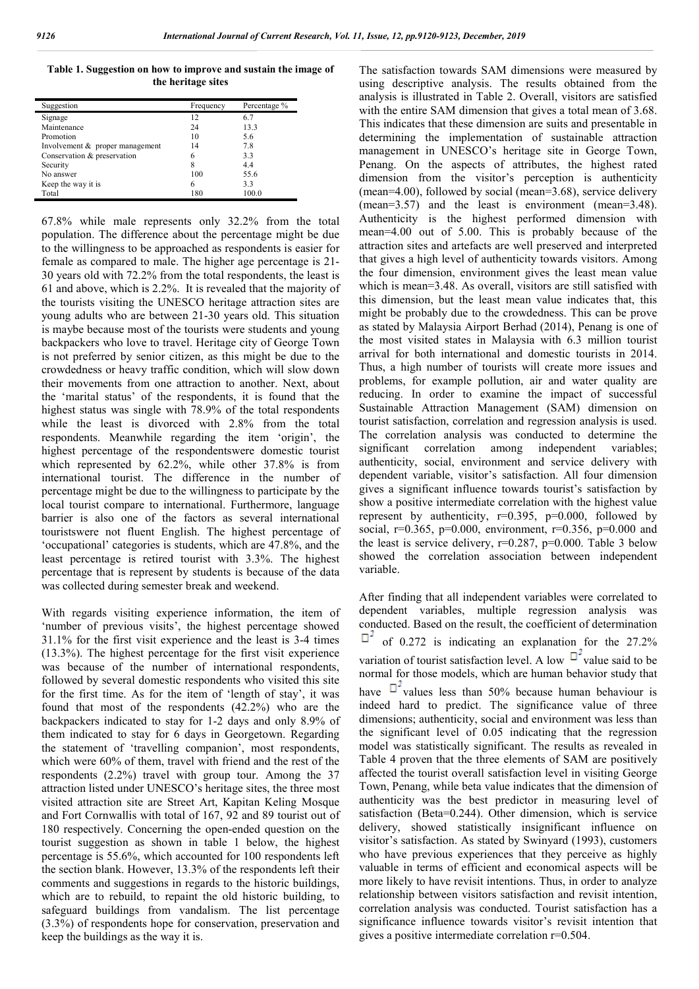**Table 1. Suggestion on how to improve and sustain the image of the heritage sites**

| Suggestion                      | Frequency | Percentage % |
|---------------------------------|-----------|--------------|
| Signage                         | 12        | 6.7          |
| Maintenance                     | 24        | 13.3         |
| Promotion                       | 10        | 5.6          |
| Involvement & proper management | 14        | 7.8          |
| Conservation & preservation     | 6         | 3.3          |
| Security                        | 8         | 4.4          |
| No answer                       | 100       | 55.6         |
| Keep the way it is              | 6         | 3.3          |
| Total                           | 180       | 100.0        |

67.8% while male represents only 32.2% from the total population. The difference about the percentage might be due to the willingness to be approached as respondents is easier for female as compared to male. The higher age percentage is 21- 30 years old with 72.2% from the total respondents, the least is 61 and above, which is 2.2%. It is revealed that the majority of the tourists visiting the UNESCO heritage attraction sites are young adults who are between 21-30 years old. This situation is maybe because most of the tourists were students and young backpackers who love to travel. Heritage city of George Town is not preferred by senior citizen, as this might be due to the crowdedness or heavy traffic condition, which will slow down their movements from one attraction to another. Next, about the 'marital status' of the respondents, it is found that the highest status was single with 78.9% of the total respondents while the least is divorced with 2.8% from the total respondents. Meanwhile regarding the item 'origin', the highest percentage of the respondentswere domestic tourist which represented by 62.2%, while other 37.8% is from international tourist. The difference in the number of percentage might be due to the willingness to participate by the local tourist compare to international. Furthermore, language barrier is also one of the factors as several international touristswere not fluent English. The highest percentage of 'occupational' categories is students, which are 47.8%, and the least percentage is retired tourist with 3.3%. The highest percentage that is represent by students is because of the data was collected during semester break and weekend.

With regards visiting experience information, the item of 'number of previous visits', the highest percentage showed 31.1% for the first visit experience and the least is 3-4 times (13.3%). The highest percentage for the first visit experience was because of the number of international respondents, followed by several domestic respondents who visited this site for the first time. As for the item of 'length of stay', it was found that most of the respondents (42.2%) who are the backpackers indicated to stay for 1-2 days and only 8.9% of them indicated to stay for 6 days in Georgetown. Regarding the statement of 'travelling companion', most respondents, which were 60% of them, travel with friend and the rest of the respondents (2.2%) travel with group tour. Among the 37 attraction listed under UNESCO's heritage sites, the three most visited attraction site are Street Art, Kapitan Keling Mosque and Fort Cornwallis with total of 167, 92 and 89 tourist out of 180 respectively. Concerning the open-ended question on the tourist suggestion as shown in table 1 below, the highest percentage is 55.6%, which accounted for 100 respondents left the section blank. However, 13.3% of the respondents left their comments and suggestions in regards to the historic buildings, which are to rebuild, to repaint the old historic building, to safeguard buildings from vandalism. The list percentage (3.3%) of respondents hope for conservation, preservation and keep the buildings as the way it is.

The satisfaction towards SAM dimensions were measured by using descriptive analysis. The results obtained from the analysis is illustrated in Table 2. Overall, visitors are satisfied with the entire SAM dimension that gives a total mean of 3.68. This indicates that these dimension are suits and presentable in determining the implementation of sustainable attraction management in UNESCO's heritage site in George Town, Penang. On the aspects of attributes, the highest rated dimension from the visitor's perception is authenticity (mean=4.00), followed by social (mean=3.68), service delivery (mean=3.57) and the least is environment (mean=3.48). Authenticity is the highest performed dimension with mean=4.00 out of 5.00. This is probably because of the attraction sites and artefacts are well preserved and interpreted that gives a high level of authenticity towards visitors. Among the four dimension, environment gives the least mean value which is mean=3.48. As overall, visitors are still satisfied with this dimension, but the least mean value indicates that, this might be probably due to the crowdedness. This can be prove as stated by Malaysia Airport Berhad (2014), Penang is one of the most visited states in Malaysia with 6.3 million tourist arrival for both international and domestic tourists in 2014. Thus, a high number of tourists will create more issues and problems, for example pollution, air and water quality are reducing. In order to examine the impact of successful Sustainable Attraction Management (SAM) dimension on tourist satisfaction, correlation and regression analysis is used. The correlation analysis was conducted to determine the significant correlation among independent variables; authenticity, social, environment and service delivery with dependent variable, visitor's satisfaction. All four dimension gives a significant influence towards tourist's satisfaction by show a positive intermediate correlation with the highest value represent by authenticity,  $r=0.395$ ,  $p=0.000$ , followed by social,  $r=0.365$ ,  $p=0.000$ , environment,  $r=0.356$ ,  $p=0.000$  and the least is service delivery,  $r=0.287$ ,  $p=0.000$ . Table 3 below showed the correlation association between independent variable.

After finding that all independent variables were correlated to dependent variables, multiple regression analysis was conducted. Based on the result, the coefficient of determination  $\Box$ <sup>2</sup> of 0.272 is indicating an explanation for the 27.2% variation of tourist satisfaction level. A low  $\mathbb{D}^2$  value said to be normal for those models, which are human behavior study that have  $\Box^2$  values less than 50% because human behaviour is indeed hard to predict. The significance value of three dimensions; authenticity, social and environment was less than the significant level of 0.05 indicating that the regression model was statistically significant. The results as revealed in Table 4 proven that the three elements of SAM are positively affected the tourist overall satisfaction level in visiting George Town, Penang, while beta value indicates that the dimension of authenticity was the best predictor in measuring level of satisfaction (Beta=0.244). Other dimension, which is service delivery, showed statistically insignificant influence on visitor's satisfaction. As stated by Swinyard (1993), customers who have previous experiences that they perceive as highly valuable in terms of efficient and economical aspects will be more likely to have revisit intentions. Thus, in order to analyze relationship between visitors satisfaction and revisit intention, correlation analysis was conducted. Tourist satisfaction has a significance influence towards visitor's revisit intention that gives a positive intermediate correlation r=0.504.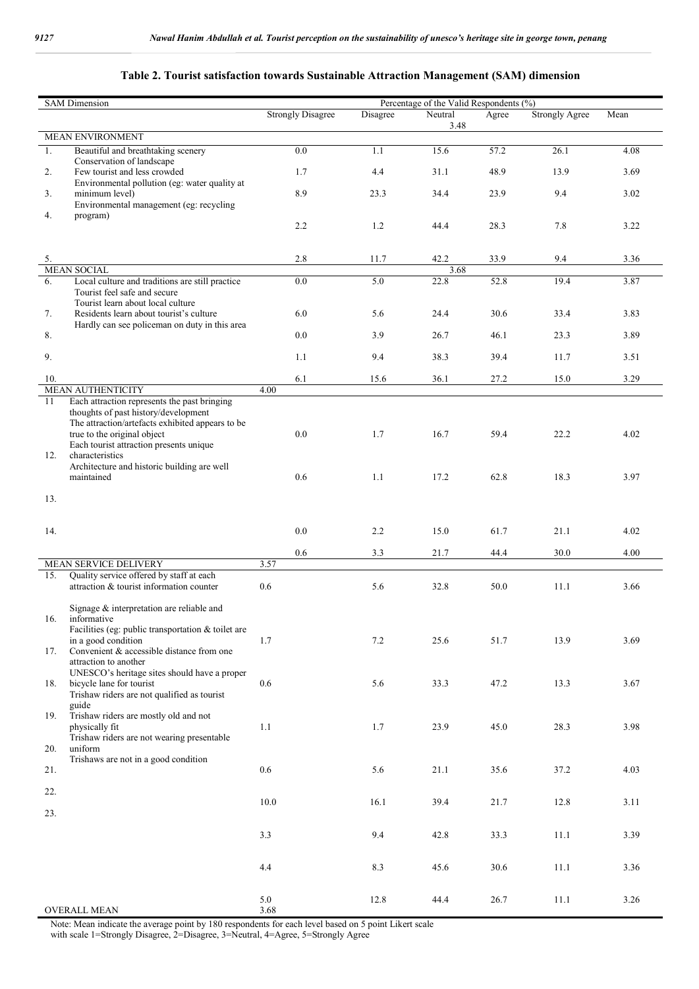## **Table 2. Tourist satisfaction towards Sustainable Attraction Management (SAM) dimension**

| <b>SAM Dimension</b><br>Percentage of the Valid Respondents (%) |                                                                                          |                          |          |         |       |                       |      |
|-----------------------------------------------------------------|------------------------------------------------------------------------------------------|--------------------------|----------|---------|-------|-----------------------|------|
|                                                                 |                                                                                          | <b>Strongly Disagree</b> | Disagree | Neutral | Agree | <b>Strongly Agree</b> | Mean |
|                                                                 | <b>MEAN ENVIRONMENT</b>                                                                  |                          |          | 3.48    |       |                       |      |
| 1.                                                              | Beautiful and breathtaking scenery                                                       | 0.0                      | 1.1      | 15.6    | 57.2  | 26.1                  | 4.08 |
|                                                                 | Conservation of landscape                                                                |                          |          |         |       |                       |      |
| 2.                                                              | Few tourist and less crowded                                                             | 1.7                      | 4.4      | 31.1    | 48.9  | 13.9                  | 3.69 |
| 3.                                                              | Environmental pollution (eg: water quality at<br>minimum level)                          | 8.9                      | 23.3     | 34.4    | 23.9  | 9.4                   | 3.02 |
|                                                                 | Environmental management (eg: recycling                                                  |                          |          |         |       |                       |      |
| 4.                                                              | program)                                                                                 | 2.2                      | 1.2      | 44.4    | 28.3  | 7.8                   | 3.22 |
|                                                                 |                                                                                          |                          |          |         |       |                       |      |
| 5.                                                              |                                                                                          | 2.8                      | 11.7     | 42.2    | 33.9  | 9.4                   | 3.36 |
|                                                                 | <b>MEAN SOCIAL</b>                                                                       |                          |          | 3.68    |       |                       |      |
| 6.                                                              | Local culture and traditions are still practice<br>Tourist feel safe and secure          | 0.0                      | 5.0      | 22.8    | 52.8  | 19.4                  | 3.87 |
|                                                                 | Tourist learn about local culture                                                        |                          |          |         |       |                       |      |
| 7.                                                              | Residents learn about tourist's culture<br>Hardly can see policeman on duty in this area | 6.0                      | 5.6      | 24.4    | 30.6  | 33.4                  | 3.83 |
| 8.                                                              |                                                                                          | 0.0                      | 3.9      | 26.7    | 46.1  | 23.3                  | 3.89 |
| 9.                                                              |                                                                                          | 1.1                      | 9.4      | 38.3    | 39.4  | 11.7                  | 3.51 |
|                                                                 |                                                                                          |                          |          |         |       |                       |      |
| 10.                                                             | <b>MEAN AUTHENTICITY</b>                                                                 | 6.1<br>4.00              | 15.6     | 36.1    | 27.2  | 15.0                  | 3.29 |
| 11                                                              | Each attraction represents the past bringing                                             |                          |          |         |       |                       |      |
|                                                                 | thoughts of past history/development                                                     |                          |          |         |       |                       |      |
|                                                                 | The attraction/artefacts exhibited appears to be<br>true to the original object          | 0.0                      | 1.7      | 16.7    | 59.4  | 22.2                  | 4.02 |
|                                                                 | Each tourist attraction presents unique                                                  |                          |          |         |       |                       |      |
| 12.                                                             | characteristics                                                                          |                          |          |         |       |                       |      |
|                                                                 | Architecture and historic building are well<br>maintained                                | 0.6                      | 1.1      | 17.2    | 62.8  | 18.3                  | 3.97 |
|                                                                 |                                                                                          |                          |          |         |       |                       |      |
| 13.                                                             |                                                                                          |                          |          |         |       |                       |      |
|                                                                 |                                                                                          |                          |          |         |       |                       |      |
| 14.                                                             |                                                                                          | 0.0                      | 2.2      | 15.0    | 61.7  | 21.1                  | 4.02 |
|                                                                 |                                                                                          |                          |          |         |       |                       |      |
|                                                                 | MEAN SERVICE DELIVERY                                                                    | 0.6<br>3.57              | 3.3      | 21.7    | 44.4  | 30.0                  | 4.00 |
| 15.                                                             | Quality service offered by staff at each                                                 |                          |          |         |       |                       |      |
|                                                                 | attraction & tourist information counter                                                 | 0.6                      | 5.6      | 32.8    | 50.0  | 11.1                  | 3.66 |
|                                                                 | Signage & interpretation are reliable and                                                |                          |          |         |       |                       |      |
|                                                                 | 16. informative                                                                          |                          |          |         |       |                       |      |
|                                                                 | Facilities (eg: public transportation & toilet are<br>in a good condition                | 1.7                      | 7.2      | 25.6    | 51.7  | 13.9                  | 3.69 |
| 17.                                                             | Convenient & accessible distance from one                                                |                          |          |         |       |                       |      |
|                                                                 | attraction to another                                                                    |                          |          |         |       |                       |      |
| 18.                                                             | UNESCO's heritage sites should have a proper<br>bicycle lane for tourist                 | $0.6\,$                  | 5.6      | 33.3    | 47.2  | 13.3                  | 3.67 |
|                                                                 | Trishaw riders are not qualified as tourist                                              |                          |          |         |       |                       |      |
| 19.                                                             | guide<br>Trishaw riders are mostly old and not                                           |                          |          |         |       |                       |      |
|                                                                 | physically fit                                                                           | 1.1                      | 1.7      | 23.9    | 45.0  | 28.3                  | 3.98 |
| 20.                                                             | Trishaw riders are not wearing presentable<br>uniform                                    |                          |          |         |       |                       |      |
|                                                                 | Trishaws are not in a good condition                                                     |                          |          |         |       |                       |      |
| 21.                                                             |                                                                                          | $0.6\,$                  | 5.6      | 21.1    | 35.6  | 37.2                  | 4.03 |
| 22.                                                             |                                                                                          |                          |          |         |       |                       |      |
|                                                                 |                                                                                          | $10.0\,$                 | 16.1     | 39.4    | 21.7  | 12.8                  | 3.11 |
| 23.                                                             |                                                                                          |                          |          |         |       |                       |      |
|                                                                 |                                                                                          | 3.3                      | 9.4      | 42.8    | 33.3  | 11.1                  | 3.39 |
|                                                                 |                                                                                          |                          |          |         |       |                       |      |
|                                                                 |                                                                                          | 4.4                      | 8.3      | 45.6    | 30.6  | 11.1                  | 3.36 |
|                                                                 |                                                                                          |                          |          |         |       |                       |      |
|                                                                 |                                                                                          | 5.0                      | 12.8     | 44.4    | 26.7  | 11.1                  | 3.26 |
|                                                                 | <b>OVERALL MEAN</b>                                                                      | 3.68                     |          |         |       |                       |      |

Note: Mean indicate the average point by 180 respondents for each level based on 5 point Likert scale

with scale 1=Strongly Disagree, 2=Disagree, 3=Neutral, 4=Agree, 5=Strongly Agree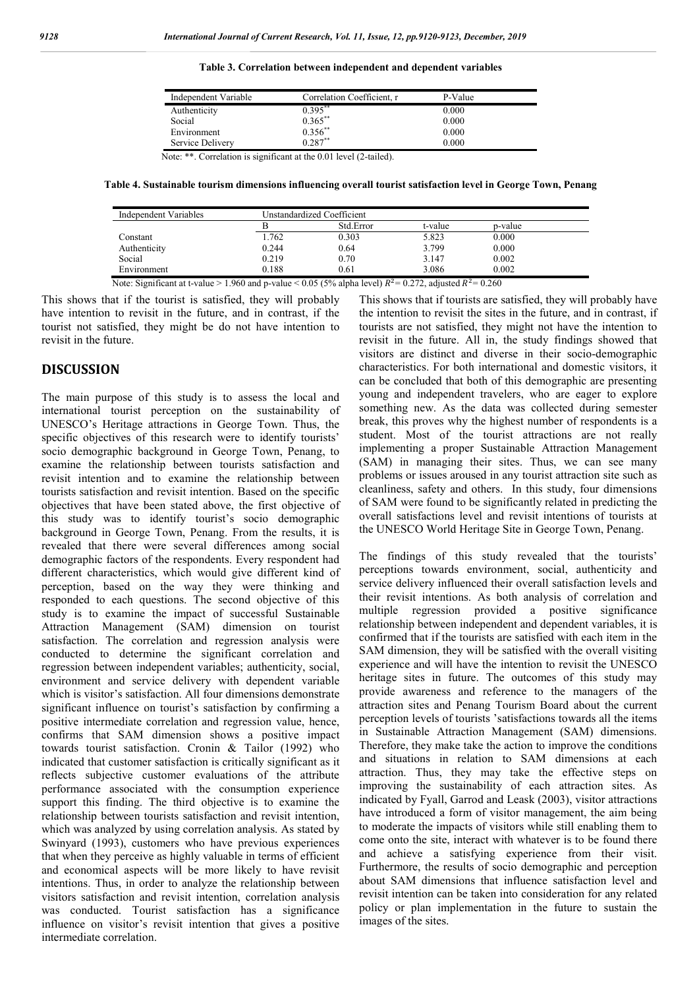**Table 3. Correlation between independent and dependent variables**

| Independent Variable | Correlation Coefficient, r | P-Value |  |
|----------------------|----------------------------|---------|--|
| Authenticity         | $0.395***$                 | 0.000   |  |
| Social               | $0.365***$                 | 0.000   |  |
| Environment          | $0.356***$                 | 0.000   |  |
| Service Delivery     | $0.287***$                 | 0.000   |  |

Note: \*\*. Correlation is significant at the 0.01 level (2-tailed).

**Table 4. Sustainable tourism dimensions influencing overall tourist satisfaction level in George Town, Penang**

|                       | Std.Error | t-value | p-value |  |
|-----------------------|-----------|---------|---------|--|
| l.762<br>Constant     | 0.303     | 5.823   | 0.000   |  |
| Authenticity<br>0.244 | 0.64      | 3.799   | 0.000   |  |
| Social<br>0.219       | 0.70      | 3.147   | 0.002   |  |
| 0.188<br>Environment  | 0.61      | 3.086   | 0.002   |  |

Note: Significant at t-value > 1.960 and p-value < 0.05 (5% alpha level)  $R^2 = 0.272$ , adjusted  $R^2 = 0.260$ 

This shows that if the tourist is satisfied, they will probably have intention to revisit in the future, and in contrast, if the tourist not satisfied, they might be do not have intention to revisit in the future.

### **DISCUSSION**

The main purpose of this study is to assess the local and international tourist perception on the sustainability of UNESCO's Heritage attractions in George Town. Thus, the specific objectives of this research were to identify tourists' socio demographic background in George Town, Penang, to examine the relationship between tourists satisfaction and revisit intention and to examine the relationship between tourists satisfaction and revisit intention. Based on the specific objectives that have been stated above, the first objective of this study was to identify tourist's socio demographic background in George Town, Penang. From the results, it is revealed that there were several differences among social demographic factors of the respondents. Every respondent had different characteristics, which would give different kind of perception, based on the way they were thinking and responded to each questions. The second objective of this study is to examine the impact of successful Sustainable Attraction Management (SAM) dimension on tourist satisfaction. The correlation and regression analysis were conducted to determine the significant correlation and regression between independent variables; authenticity, social, environment and service delivery with dependent variable which is visitor's satisfaction. All four dimensions demonstrate significant influence on tourist's satisfaction by confirming a positive intermediate correlation and regression value, hence, confirms that SAM dimension shows a positive impact towards tourist satisfaction. Cronin & Tailor (1992) who indicated that customer satisfaction is critically significant as it reflects subjective customer evaluations of the attribute performance associated with the consumption experience support this finding. The third objective is to examine the relationship between tourists satisfaction and revisit intention, which was analyzed by using correlation analysis. As stated by Swinyard (1993), customers who have previous experiences that when they perceive as highly valuable in terms of efficient and economical aspects will be more likely to have revisit intentions. Thus, in order to analyze the relationship between visitors satisfaction and revisit intention, correlation analysis was conducted. Tourist satisfaction has a significance influence on visitor's revisit intention that gives a positive intermediate correlation.

This shows that if tourists are satisfied, they will probably have the intention to revisit the sites in the future, and in contrast, if tourists are not satisfied, they might not have the intention to revisit in the future. All in, the study findings showed that visitors are distinct and diverse in their socio-demographic characteristics. For both international and domestic visitors, it can be concluded that both of this demographic are presenting young and independent travelers, who are eager to explore something new. As the data was collected during semester break, this proves why the highest number of respondents is a student. Most of the tourist attractions are not really implementing a proper Sustainable Attraction Management (SAM) in managing their sites. Thus, we can see many problems or issues aroused in any tourist attraction site such as cleanliness, safety and others. In this study, four dimensions of SAM were found to be significantly related in predicting the overall satisfactions level and revisit intentions of tourists at the UNESCO World Heritage Site in George Town, Penang.

The findings of this study revealed that the tourists' perceptions towards environment, social, authenticity and service delivery influenced their overall satisfaction levels and their revisit intentions. As both analysis of correlation and multiple regression provided a positive significance relationship between independent and dependent variables, it is confirmed that if the tourists are satisfied with each item in the SAM dimension, they will be satisfied with the overall visiting experience and will have the intention to revisit the UNESCO heritage sites in future. The outcomes of this study may provide awareness and reference to the managers of the attraction sites and Penang Tourism Board about the current perception levels of tourists 'satisfactions towards all the items in Sustainable Attraction Management (SAM) dimensions. Therefore, they make take the action to improve the conditions and situations in relation to SAM dimensions at each attraction. Thus, they may take the effective steps on improving the sustainability of each attraction sites. As indicated by Fyall, Garrod and Leask (2003), visitor attractions have introduced a form of visitor management, the aim being to moderate the impacts of visitors while still enabling them to come onto the site, interact with whatever is to be found there and achieve a satisfying experience from their visit. Furthermore, the results of socio demographic and perception about SAM dimensions that influence satisfaction level and revisit intention can be taken into consideration for any related policy or plan implementation in the future to sustain the images of the sites.